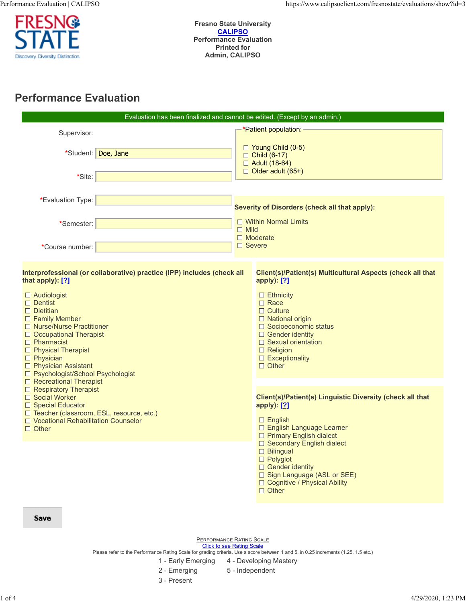

**Fresno State University CALIPSO Performance Evaluation Printed for Admin, CALIPSO**

# **Performance Evaluation**

|                                                                                                                                                                                                                                                                                                                                                                                          | Evaluation has been finalized and cannot be edited. (Except by an admin.)                                                                                                                                                                                                                                                               |  |  |  |  |  |
|------------------------------------------------------------------------------------------------------------------------------------------------------------------------------------------------------------------------------------------------------------------------------------------------------------------------------------------------------------------------------------------|-----------------------------------------------------------------------------------------------------------------------------------------------------------------------------------------------------------------------------------------------------------------------------------------------------------------------------------------|--|--|--|--|--|
| Supervisor:<br>*Student: Doe, Jane                                                                                                                                                                                                                                                                                                                                                       | <mark>-*Patient population:</mark><br>□ Young Child (0-5)<br>$\Box$ Child (6-17)<br>□ Adult (18-64)<br>$\Box$ Older adult (65+)                                                                                                                                                                                                         |  |  |  |  |  |
| *Site:                                                                                                                                                                                                                                                                                                                                                                                   |                                                                                                                                                                                                                                                                                                                                         |  |  |  |  |  |
| *Evaluation Type:<br>*Semester:<br>*Course number:                                                                                                                                                                                                                                                                                                                                       | <b>Severity of Disorders (check all that apply):</b><br>$\Box$ Within Normal Limits<br>$\Box$ Mild<br>$\Box$ Moderate<br>$\Box$ Severe                                                                                                                                                                                                  |  |  |  |  |  |
| Interprofessional (or collaborative) practice (IPP) includes (check all<br>that apply): [?]<br>$\Box$ Audiologist<br>$\Box$ Dentist<br>$\Box$ Dietitian<br>$\Box$ Family Member<br>□ Nurse/Nurse Practitioner<br>$\Box$ Occupational Therapist<br>$\Box$ Pharmacist<br>$\Box$ Physical Therapist<br>$\Box$ Physician<br>$\Box$ Physician Assistant<br>□ Psychologist/School Psychologist | Client(s)/Patient(s) Multicultural Aspects (check all that<br>apply): [?]<br>$\Box$ Ethnicity<br>$\Box$ Race<br>$\Box$ Culture<br>$\Box$ National origin<br>□ Socioeconomic status<br>$\Box$ Gender identity<br>$\Box$ Sexual orientation<br>$\Box$ Religion<br>$\Box$ Exceptionality<br>$\Box$ Other                                   |  |  |  |  |  |
| □ Recreational Therapist<br>$\Box$ Respiratory Therapist<br>□ Social Worker<br>□ Special Educator<br>□ Teacher (classroom, ESL, resource, etc.)<br>$\Box$ Vocational Rehabilitation Counselor<br>$\Box$ Other                                                                                                                                                                            | Client(s)/Patient(s) Linguistic Diversity (check all that<br>apply): [?]<br>$\Box$ English<br>□ English Language Learner<br>□ Primary English dialect<br>□ Secondary English dialect<br>$\Box$ Bilingual<br>$\Box$ Polyglot<br>$\Box$ Gender identity<br>□ Sign Language (ASL or SEE)<br>□ Cognitive / Physical Ability<br>$\Box$ Other |  |  |  |  |  |
| <b>Save</b>                                                                                                                                                                                                                                                                                                                                                                              |                                                                                                                                                                                                                                                                                                                                         |  |  |  |  |  |

PERFORMANCE RATING SCALE

Click to see Rating Scale<br>Please refer to the Performance Rating Scale for grading criteria. Use a score between 1 and 5, in 0.25 increments (1.25, 1.5 etc.)

- 1 Early Emerging 4 Developing Mastery
- 2 Emerging 5 Independent
- 3 Present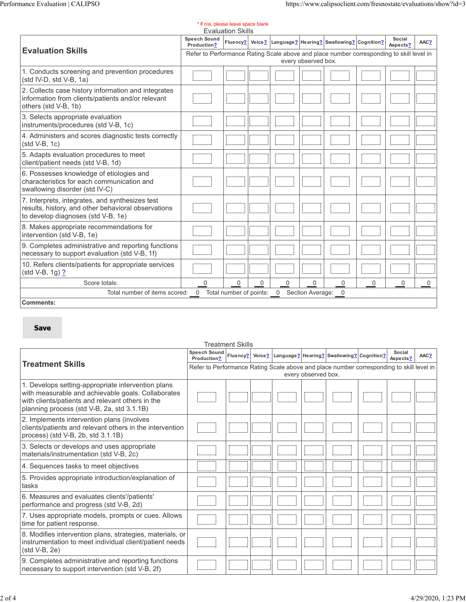| * If n/a, please leave space blank<br><b>Evaluation Skills</b>                                                                               |                                                                                                                 |                           |          |             |                  |                                                          |          |                    |          |
|----------------------------------------------------------------------------------------------------------------------------------------------|-----------------------------------------------------------------------------------------------------------------|---------------------------|----------|-------------|------------------|----------------------------------------------------------|----------|--------------------|----------|
|                                                                                                                                              | Speech Sound<br>Production?                                                                                     | Fluency?                  |          |             |                  | Voice?   Language?   Hearing?   Swallowing?   Cognition? |          | Social<br>Aspects? | AAC?     |
| <b>Evaluation Skills</b>                                                                                                                     | Refer to Performance Rating Scale above and place number corresponding to skill level in<br>every observed box. |                           |          |             |                  |                                                          |          |                    |          |
| 1. Conducts screening and prevention procedures<br>(std IV-D, std V-B, 1a)                                                                   |                                                                                                                 |                           |          |             |                  |                                                          |          |                    |          |
| 2. Collects case history information and integrates<br>information from clients/patients and/or relevant<br>others (std V-B, 1b)             |                                                                                                                 |                           |          |             |                  |                                                          |          |                    |          |
| 3. Selects appropriate evaluation<br>instruments/procedures (std V-B, 1c)                                                                    |                                                                                                                 |                           |          |             |                  |                                                          |          |                    |          |
| 4. Administers and scores diagnostic tests correctly<br>$(std V-B, 1c)$                                                                      |                                                                                                                 |                           |          |             |                  |                                                          |          |                    |          |
| 5. Adapts evaluation procedures to meet<br>client/patient needs (std V-B, 1d)                                                                |                                                                                                                 |                           |          |             |                  |                                                          |          |                    |          |
| 6. Possesses knowledge of etiologies and<br>characteristics for each communication and<br>swallowing disorder (std IV-C)                     |                                                                                                                 |                           |          |             |                  |                                                          |          |                    |          |
| 7. Interprets, integrates, and synthesizes test<br>results, history, and other behavioral observations<br>to develop diagnoses (std V-B, 1e) |                                                                                                                 |                           |          |             |                  |                                                          |          |                    |          |
| 8. Makes appropriate recommendations for<br>intervention (std V-B, 1e)                                                                       |                                                                                                                 |                           |          |             |                  |                                                          |          |                    |          |
| 9. Completes administrative and reporting functions<br>necessary to support evaluation (std V-B, 1f)                                         |                                                                                                                 |                           |          |             |                  |                                                          |          |                    |          |
| 10. Refers clients/patients for appropriate services<br>(std V-B, 1g) <b>?</b>                                                               |                                                                                                                 |                           |          |             |                  |                                                          |          |                    |          |
| Score totals:                                                                                                                                | $\Omega$                                                                                                        | $\Omega$                  | $\Omega$ | $\mathbf 0$ | $\Omega$         | $\Omega$                                                 | $\Omega$ | 0                  | $\Omega$ |
| Total number of items scored:                                                                                                                | $\overline{0}$                                                                                                  | Total number of points: 0 |          |             | Section Average: | $\overline{0}$                                           |          |                    |          |
| <b>Comments:</b>                                                                                                                             |                                                                                                                 |                           |          |             |                  |                                                          |          |                    |          |

## **Save**

|                                                                                                                                                                                                            |                                                                                                                 | Treatment Skills |  |  |  |                                                          |  |                    |      |  |  |
|------------------------------------------------------------------------------------------------------------------------------------------------------------------------------------------------------------|-----------------------------------------------------------------------------------------------------------------|------------------|--|--|--|----------------------------------------------------------|--|--------------------|------|--|--|
|                                                                                                                                                                                                            | Speech Sound   Fluency?<br>Production?                                                                          |                  |  |  |  | Voice?   Language?   Hearing?   Swallowing?   Cognition? |  | Social<br>Aspects? | AAC? |  |  |
| <b>Treatment Skills</b>                                                                                                                                                                                    | Refer to Performance Rating Scale above and place number corresponding to skill level in<br>every observed box. |                  |  |  |  |                                                          |  |                    |      |  |  |
| 1. Develops setting-appropriate intervention plans<br>with measurable and achievable goals. Collaborates<br>with clients/patients and relevant others in the<br>planning process (std V-B, 2a, std 3.1.1B) |                                                                                                                 |                  |  |  |  |                                                          |  |                    |      |  |  |
| 2. Implements intervention plans (involves<br>clients/patients and relevant others in the intervention<br>process) (std V-B, 2b, std 3.1.1B)                                                               |                                                                                                                 |                  |  |  |  |                                                          |  |                    |      |  |  |
| 3. Selects or develops and uses appropriate<br>materials/instrumentation (std V-B, 2c)                                                                                                                     |                                                                                                                 |                  |  |  |  |                                                          |  |                    |      |  |  |
| 4. Sequences tasks to meet objectives                                                                                                                                                                      |                                                                                                                 |                  |  |  |  |                                                          |  |                    |      |  |  |
| 5. Provides appropriate introduction/explanation of<br>tasks                                                                                                                                               |                                                                                                                 |                  |  |  |  |                                                          |  |                    |      |  |  |
| 6. Measures and evaluates clients'/patients'<br>performance and progress (std V-B, 2d)                                                                                                                     |                                                                                                                 |                  |  |  |  |                                                          |  |                    |      |  |  |
| 7. Uses appropriate models, prompts or cues. Allows<br>time for patient response.                                                                                                                          |                                                                                                                 |                  |  |  |  |                                                          |  |                    |      |  |  |
| 8. Modifies intervention plans, strategies, materials, or<br>instrumentation to meet individual client/patient needs<br>$(std V-B, 2e)$                                                                    |                                                                                                                 |                  |  |  |  |                                                          |  |                    |      |  |  |
| 9. Completes administrative and reporting functions<br>necessary to support intervention (std V-B, 2f)                                                                                                     |                                                                                                                 |                  |  |  |  |                                                          |  |                    |      |  |  |

### Treatment Skills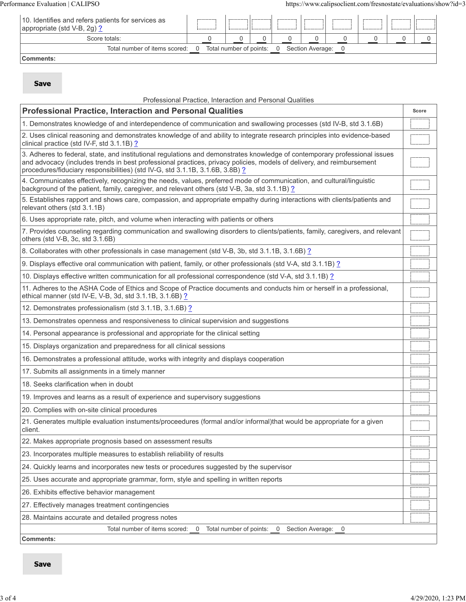| 10. Identifies and refers patients for services as<br>appropriate (std V-B, 2g) ? |                                                                            |  |  |  |  |  |  |  |
|-----------------------------------------------------------------------------------|----------------------------------------------------------------------------|--|--|--|--|--|--|--|
| Score totals:                                                                     |                                                                            |  |  |  |  |  |  |  |
|                                                                                   | Total number of items scored: 0 Total number of points: 0 Section Average: |  |  |  |  |  |  |  |
| <b>Comments:</b>                                                                  |                                                                            |  |  |  |  |  |  |  |

# **Save**

| Professional Practice, Interaction and Personal Qualities                                                                                                                                                                                                                                                                            |       |
|--------------------------------------------------------------------------------------------------------------------------------------------------------------------------------------------------------------------------------------------------------------------------------------------------------------------------------------|-------|
| <b>Professional Practice, Interaction and Personal Qualities</b>                                                                                                                                                                                                                                                                     | Score |
| 1. Demonstrates knowledge of and interdependence of communication and swallowing processes (std IV-B, std 3.1.6B)                                                                                                                                                                                                                    |       |
| 2. Uses clinical reasoning and demonstrates knowledge of and ability to integrate research principles into evidence-based<br>clinical practice (std IV-F, std 3.1.1B) ?                                                                                                                                                              |       |
| 3. Adheres to federal, state, and institutional regulations and demonstrates knowledge of contemporary professional issues<br>and advocacy (includes trends in best professional practices, privacy policies, models of delivery, and reimbursement<br>procedures/fiduciary responsibilities) (std IV-G, std 3.1.1B, 3.1.6B, 3.8B) ? |       |
| 4. Communicates effectively, recognizing the needs, values, preferred mode of communication, and cultural/linguistic<br>background of the patient, family, caregiver, and relevant others (std V-B, 3a, std 3.1.1B) ?                                                                                                                |       |
| 5. Establishes rapport and shows care, compassion, and appropriate empathy during interactions with clients/patients and<br>relevant others (std 3.1.1B)                                                                                                                                                                             |       |
| 6. Uses appropriate rate, pitch, and volume when interacting with patients or others                                                                                                                                                                                                                                                 |       |
| 7. Provides counseling regarding communication and swallowing disorders to clients/patients, family, caregivers, and relevant<br>others (std V-B, 3c, std 3.1.6B)                                                                                                                                                                    |       |
| 8. Collaborates with other professionals in case management (std V-B, 3b, std 3.1.1B, 3.1.6B) ?                                                                                                                                                                                                                                      |       |
| 9. Displays effective oral communication with patient, family, or other professionals (std V-A, std 3.1.1B) ?                                                                                                                                                                                                                        |       |
| 10. Displays effective written communication for all professional correspondence (std V-A, std 3.1.1B) ?                                                                                                                                                                                                                             |       |
| 11. Adheres to the ASHA Code of Ethics and Scope of Practice documents and conducts him or herself in a professional,<br>ethical manner (std IV-E, V-B, 3d, std 3.1.1B, 3.1.6B) ?                                                                                                                                                    |       |
| 12. Demonstrates professionalism (std 3.1.1B, 3.1.6B) ?                                                                                                                                                                                                                                                                              |       |
| 13. Demonstrates openness and responsiveness to clinical supervision and suggestions                                                                                                                                                                                                                                                 |       |
| 14. Personal appearance is professional and appropriate for the clinical setting                                                                                                                                                                                                                                                     |       |
| 15. Displays organization and preparedness for all clinical sessions                                                                                                                                                                                                                                                                 |       |
| 16. Demonstrates a professional attitude, works with integrity and displays cooperation                                                                                                                                                                                                                                              |       |
| 17. Submits all assignments in a timely manner                                                                                                                                                                                                                                                                                       |       |
| 18. Seeks clarification when in doubt                                                                                                                                                                                                                                                                                                |       |
| 19. Improves and learns as a result of experience and supervisory suggestions                                                                                                                                                                                                                                                        |       |
| 20. Complies with on-site clinical procedures                                                                                                                                                                                                                                                                                        |       |
| 21. Generates multiple evaluation instuments/proceedures (formal and/or informal)that would be appropriate for a given<br>client.                                                                                                                                                                                                    |       |
| 22. Makes appropriate prognosis based on assessment results                                                                                                                                                                                                                                                                          |       |
| 23. Incorporates multiple measures to establish reliability of results                                                                                                                                                                                                                                                               |       |
| 24. Quickly learns and incorporates new tests or procedures suggested by the supervisor                                                                                                                                                                                                                                              |       |
| 25. Uses accurate and appropriate grammar, form, style and spelling in written reports                                                                                                                                                                                                                                               |       |
| 26. Exhibits effective behavior management                                                                                                                                                                                                                                                                                           |       |
| 27. Effectively manages treatment contingencies                                                                                                                                                                                                                                                                                      |       |
| 28. Maintains accurate and detailed progress notes                                                                                                                                                                                                                                                                                   |       |
| Total number of items scored:<br>Total number of points:<br>Section Average: 0<br>0<br>0                                                                                                                                                                                                                                             |       |
|                                                                                                                                                                                                                                                                                                                                      |       |

**Comments:**

**Save**